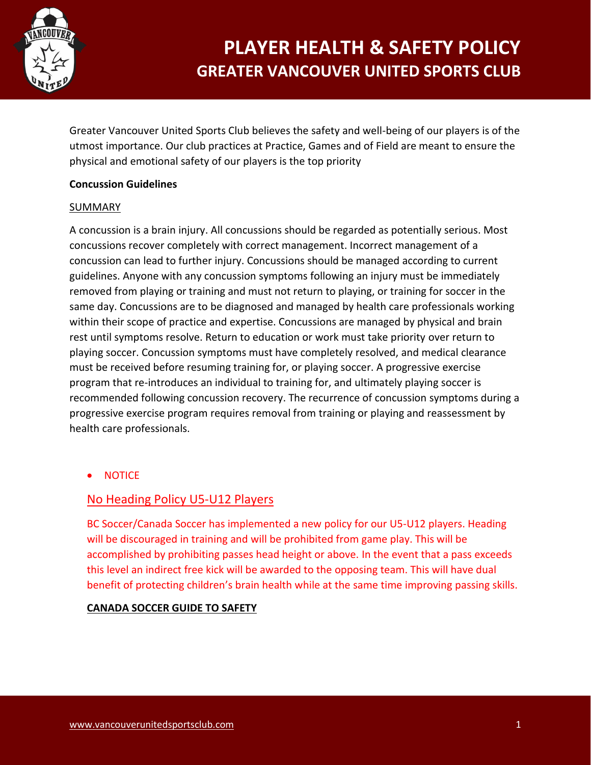

Greater Vancouver United Sports Club believes the safety and well-being of our players is of the utmost importance. Our club practices at Practice, Games and of Field are meant to ensure the physical and emotional safety of our players is the top priority

## **Concussion Guidelines**

### **SUMMARY**

A concussion is a brain injury. All concussions should be regarded as potentially serious. Most concussions recover completely with correct management. Incorrect management of a concussion can lead to further injury. Concussions should be managed according to current guidelines. Anyone with any concussion symptoms following an injury must be immediately removed from playing or training and must not return to playing, or training for soccer in the same day. Concussions are to be diagnosed and managed by health care professionals working within their scope of practice and expertise. Concussions are managed by physical and brain rest until symptoms resolve. Return to education or work must take priority over return to playing soccer. Concussion symptoms must have completely resolved, and medical clearance must be received before resuming training for, or playing soccer. A progressive exercise program that re-introduces an individual to training for, and ultimately playing soccer is recommended following concussion recovery. The recurrence of concussion symptoms during a progressive exercise program requires removal from training or playing and reassessment by health care professionals.

• NOTICE

## No Heading Policy U5-U12 Players

BC Soccer/Canada Soccer has implemented a new policy for our U5-U12 players. Heading will be discouraged in training and will be prohibited from game play. This will be accomplished by prohibiting passes head height or above. In the event that a pass exceeds this level an indirect free kick will be awarded to the opposing team. This will have dual benefit of protecting children's brain health while at the same time improving passing skills.

### **[CANADA SOCCER GUIDE TO SAFETY](https://www.canadasoccer.com/wp-content/uploads/2020/12/CanadaSoccer_Guide_Safety_EN.pdf)**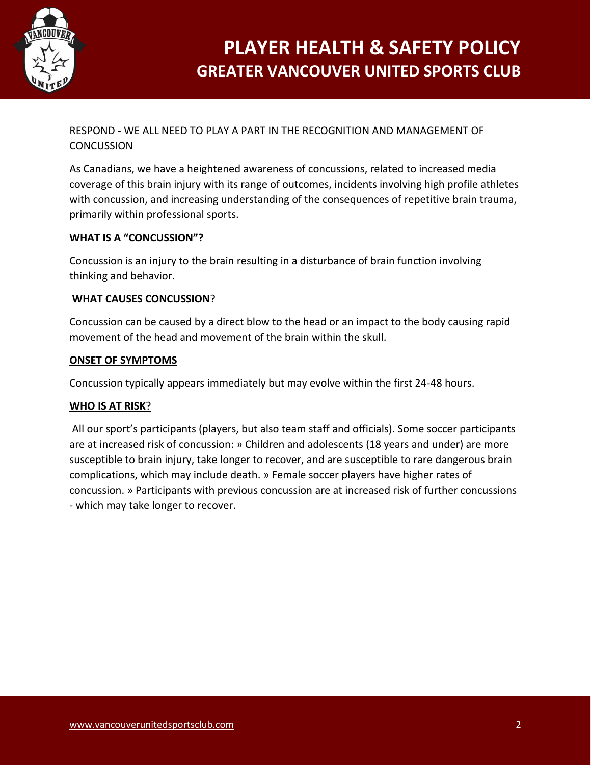

## RESPOND - WE ALL NEED TO PLAY A PART IN THE RECOGNITION AND MANAGEMENT OF CONCUSSION

As Canadians, we have a heightened awareness of concussions, related to increased media coverage of this brain injury with its range of outcomes, incidents involving high profile athletes with concussion, and increasing understanding of the consequences of repetitive brain trauma, primarily within professional sports.

## **WHAT IS A "CONCUSSION"?**

Concussion is an injury to the brain resulting in a disturbance of brain function involving thinking and behavior.

### **WHAT CAUSES CONCUSSION**?

Concussion can be caused by a direct blow to the head or an impact to the body causing rapid movement of the head and movement of the brain within the skull.

### **ONSET OF SYMPTOMS**

Concussion typically appears immediately but may evolve within the first 24-48 hours.

### **WHO IS AT RISK**?

All our sport's participants (players, but also team staff and officials). Some soccer participants are at increased risk of concussion: » Children and adolescents (18 years and under) are more susceptible to brain injury, take longer to recover, and are susceptible to rare dangerous brain complications, which may include death. » Female soccer players have higher rates of concussion. » Participants with previous concussion are at increased risk of further concussions - which may take longer to recover.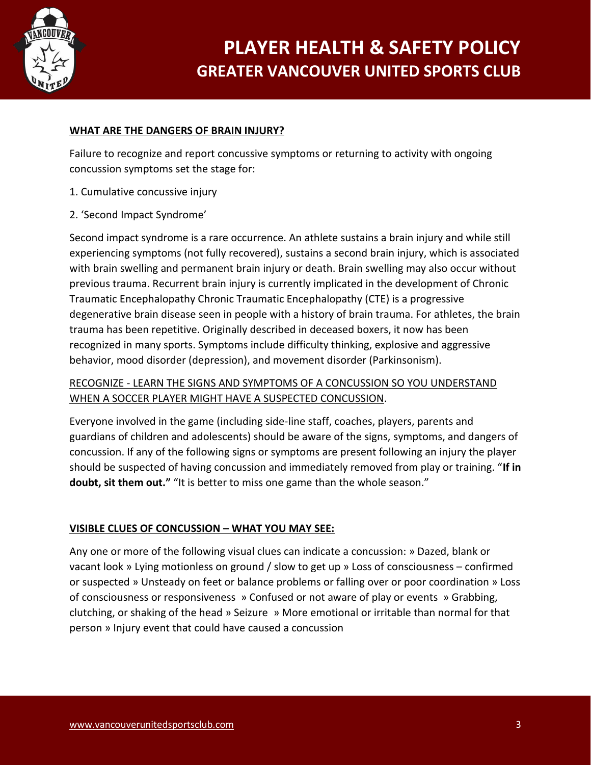

## **WHAT ARE THE DANGERS OF BRAIN INJURY?**

Failure to recognize and report concussive symptoms or returning to activity with ongoing concussion symptoms set the stage for:

- 1. Cumulative concussive injury
- 2. 'Second Impact Syndrome'

Second impact syndrome is a rare occurrence. An athlete sustains a brain injury and while still experiencing symptoms (not fully recovered), sustains a second brain injury, which is associated with brain swelling and permanent brain injury or death. Brain swelling may also occur without previous trauma. Recurrent brain injury is currently implicated in the development of Chronic Traumatic Encephalopathy Chronic Traumatic Encephalopathy (CTE) is a progressive degenerative brain disease seen in people with a history of brain trauma. For athletes, the brain trauma has been repetitive. Originally described in deceased boxers, it now has been recognized in many sports. Symptoms include difficulty thinking, explosive and aggressive behavior, mood disorder (depression), and movement disorder (Parkinsonism).

## RECOGNIZE - LEARN THE SIGNS AND SYMPTOMS OF A CONCUSSION SO YOU UNDERSTAND WHEN A SOCCER PLAYER MIGHT HAVE A SUSPECTED CONCUSSION.

Everyone involved in the game (including side-line staff, coaches, players, parents and guardians of children and adolescents) should be aware of the signs, symptoms, and dangers of concussion. If any of the following signs or symptoms are present following an injury the player should be suspected of having concussion and immediately removed from play or training. "**If in** doubt, sit them out." "It is better to miss one game than the whole season."

## **VISIBLE CLUES OF CONCUSSION – WHAT YOU MAY SEE:**

Any one or more of the following visual clues can indicate a concussion: » Dazed, blank or vacant look » Lying motionless on ground / slow to get up » Loss of consciousness – confirmed or suspected » Unsteady on feet or balance problems or falling over or poor coordination » Loss of consciousness or responsiveness » Confused or not aware of play or events » Grabbing, clutching, or shaking of the head » Seizure » More emotional or irritable than normal for that person » Injury event that could have caused a concussion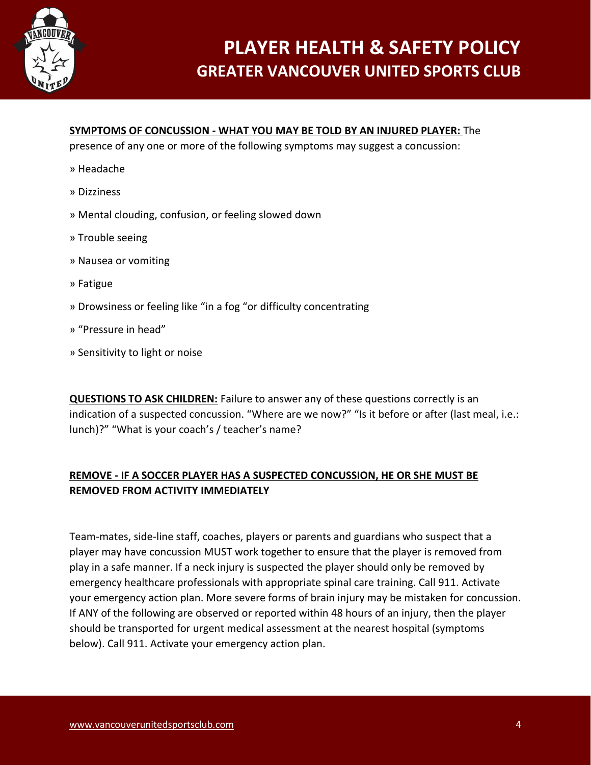

### **SYMPTOMS OF CONCUSSION - WHAT YOU MAY BE TOLD BY AN INJURED PLAYER:** The

presence of any one or more of the following symptoms may suggest a concussion:

- » Headache
- » Dizziness
- » Mental clouding, confusion, or feeling slowed down
- » Trouble seeing
- » Nausea or vomiting
- » Fatigue
- » Drowsiness or feeling like "in a fog "or difficulty concentrating
- » "Pressure in head"
- » Sensitivity to light or noise

**QUESTIONS TO ASK CHILDREN:** Failure to answer any of these questions correctly is an indication of a suspected concussion. "Where are we now?" "Is it before or after (last meal, i.e.: lunch)?" "What is your coach's / teacher's name?

## **REMOVE - IF A SOCCER PLAYER HAS A SUSPECTED CONCUSSION, HE OR SHE MUST BE REMOVED FROM ACTIVITY IMMEDIATELY**

Team-mates, side-line staff, coaches, players or parents and guardians who suspect that a player may have concussion MUST work together to ensure that the player is removed from play in a safe manner. If a neck injury is suspected the player should only be removed by emergency healthcare professionals with appropriate spinal care training. Call 911. Activate your emergency action plan. More severe forms of brain injury may be mistaken for concussion. If ANY of the following are observed or reported within 48 hours of an injury, then the player should be transported for urgent medical assessment at the nearest hospital (symptoms below). Call 911. Activate your emergency action plan.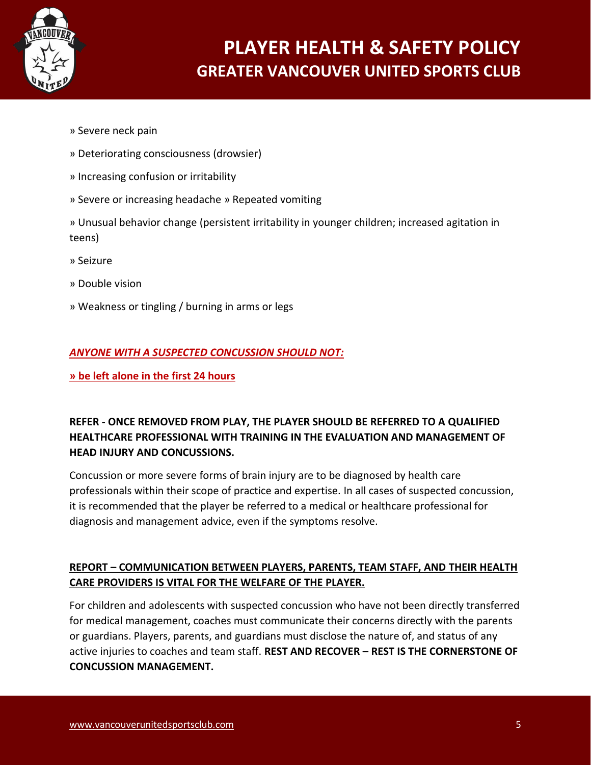

- » Severe neck pain
- » Deteriorating consciousness (drowsier)
- » Increasing confusion or irritability
- » Severe or increasing headache » Repeated vomiting

» Unusual behavior change (persistent irritability in younger children; increased agitation in teens)

- » Seizure
- » Double vision
- » Weakness or tingling / burning in arms or legs

## *ANYONE WITH A SUSPECTED CONCUSSION SHOULD NOT:*

**» be left alone in the first 24 hours** 

## **REFER - ONCE REMOVED FROM PLAY, THE PLAYER SHOULD BE REFERRED TO A QUALIFIED HEALTHCARE PROFESSIONAL WITH TRAINING IN THE EVALUATION AND MANAGEMENT OF HEAD INJURY AND CONCUSSIONS.**

Concussion or more severe forms of brain injury are to be diagnosed by health care professionals within their scope of practice and expertise. In all cases of suspected concussion, it is recommended that the player be referred to a medical or healthcare professional for diagnosis and management advice, even if the symptoms resolve.

## **REPORT – COMMUNICATION BETWEEN PLAYERS, PARENTS, TEAM STAFF, AND THEIR HEALTH CARE PROVIDERS IS VITAL FOR THE WELFARE OF THE PLAYER.**

For children and adolescents with suspected concussion who have not been directly transferred for medical management, coaches must communicate their concerns directly with the parents or guardians. Players, parents, and guardians must disclose the nature of, and status of any active injuries to coaches and team staff. **REST AND RECOVER – REST IS THE CORNERSTONE OF CONCUSSION MANAGEMENT.**